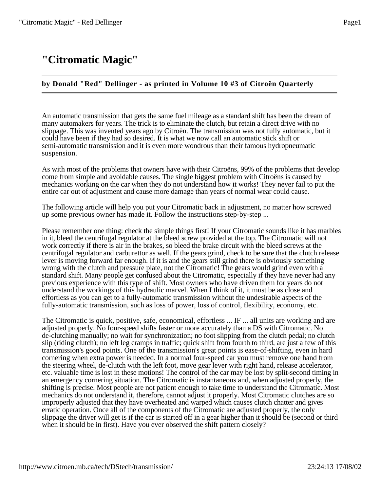# **"Citromatic Magic"**

# **by Donald "Red" Dellinger - as printed in Volume 10 #3 of Citroën Quarterly**

An automatic transmission that gets the same fuel mileage as a standard shift has been the dream of many automakers for years. The trick is to eliminate the clutch, but retain a direct drive with no slippage. This was invented years ago by Citroën. The transmission was not fully automatic, but it could have been if they had so desired. It is what we now call an automatic stick shift or semi-automatic transmission and it is even more wondrous than their famous hydropneumatic suspension.

As with most of the problems that owners have with their Citroëns, 99% of the problems that develop come from simple and avoidable causes. The single biggest problem with Citroëns is caused by mechanics working on the car when they do not understand how it works! They never fail to put the entire car out of adjustment and cause more damage than years of normal wear could cause.

The following article will help you put your Citromatic back in adjustment, no matter how screwed up some previous owner has made it. Follow the instructions step-by-step ...

Please remember one thing: check the simple things first! If your Citromatic sounds like it has marbles in it, bleed the centrifugal regulator at the bleed screw provided at the top. The Citromatic will not work correctly if there is air in the brakes, so bleed the brake circuit with the bleed screws at the centrifugal regulator and carburettor as well. If the gears grind, check to be sure that the clutch release lever is moving forward far enough. If it is and the gears still grind there is obviously something wrong with the clutch and pressure plate, not the Citromatic! The gears would grind even with a standard shift. Many people get confused about the Citromatic, especially if they have never had any previous experience with this type of shift. Most owners who have driven them for years do not understand the workings of this hydraulic marvel. When I think of it, it must be as close and effortless as you can get to a fully-automatic transmission without the undesirable aspects of the fully-automatic transmission, such as loss of power, loss of control, flexibility, economy, etc.

The Citromatic is quick, positive, safe, economical, effortless ... IF ... all units are working and are adjusted properly. No four-speed shifts faster or more accurately than a DS with Citromatic. No de-clutching manually; no wait for synchronization; no foot slipping from the clutch pedal; no clutch slip (riding clutch); no left leg cramps in traffic; quick shift from fourth to third, are just a few of this transmission's good points. One of the transmission's great points is ease-of-shifting, even in hard cornering when extra power is needed. In a normal four-speed car you must remove one hand from the steering wheel, de-clutch with the left foot, move gear lever with right hand, release accelerator, etc. valuable time is lost in these motions! The control of the car may be lost by split-second timing in an emergency cornering situation. The Citromatic is instantaneous and, when adjusted properly, the shifting is precise. Most people are not patient enough to take time to understand the Citromatic. Most mechanics do not understand it, therefore, cannot adjust it properly. Most Citromatic clutches are so improperly adjusted that they have overheated and warped which causes clutch chatter and gives erratic operation. Once all of the components of the Citromatic are adjusted properly, the only slippage the driver will get is if the car is started off in a gear higher than it should be (second or third when it should be in first). Have you ever observed the shift pattern closely?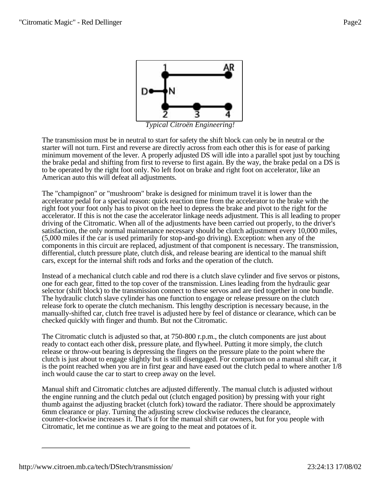

*Typical Citroën Engineering!*

The transmission must be in neutral to start for safety the shift block can only be in neutral or the starter will not turn. First and reverse are directly across from each other this is for ease of parking minimum movement of the lever. A properly adjusted DS will idle into a parallel spot just by touching the brake pedal and shifting from first to reverse to first again. By the way, the brake pedal on a DS is to be operated by the right foot only. No left foot on brake and right foot on accelerator, like an American auto this will defeat all adjustments.

The "champignon" or "mushroom" brake is designed for minimum travel it is lower than the accelerator pedal for a special reason: quick reaction time from the accelerator to the brake with the right foot your foot only has to pivot on the heel to depress the brake and pivot to the right for the accelerator. If this is not the case the accelerator linkage needs adjustment. This is all leading to proper driving of the Citromatic. When all of the adjustments have been carried out properly, to the driver's satisfaction, the only normal maintenance necessary should be clutch adjustment every 10,000 miles, (5,000 miles if the car is used primarily for stop-and-go driving). Exception: when any of the components in this circuit are replaced, adjustment of that component is necessary. The transmission, differential, clutch pressure plate, clutch disk, and release bearing are identical to the manual shift cars, except for the internal shift rods and forks and the operation of the clutch.

Instead of a mechanical clutch cable and rod there is a clutch slave cylinder and five servos or pistons, one for each gear, fitted to the top cover of the transmission. Lines leading from the hydraulic gear selector (shift block) to the transmission connect to these servos and are tied together in one bundle. The hydraulic clutch slave cylinder has one function to engage or release pressure on the clutch release fork to operate the clutch mechanism. This lengthy description is necessary because, in the manually-shifted car, clutch free travel is adjusted here by feel of distance or clearance, which can be checked quickly with finger and thumb. But not the Citromatic.

The Citromatic clutch is adjusted so that, at 750-800 r.p.m., the clutch components are just about ready to contact each other disk, pressure plate, and flywheel. Putting it more simply, the clutch release or throw-out bearing is depressing the fingers on the pressure plate to the point where the clutch is just about to engage slightly but is still disengaged. For comparison on a manual shift car, it is the point reached when you are in first gear and have eased out the clutch pedal to where another 1/8 inch would cause the car to start to creep away on the level.

Manual shift and Citromatic clutches are adjusted differently. The manual clutch is adjusted without the engine running and the clutch pedal out (clutch engaged position) by pressing with your right thumb against the adjusting bracket (clutch fork) toward the radiator. There should be approximately 6mm clearance or play. Turning the adjusting screw clockwise reduces the clearance, counter-clockwise increases it. That's it for the manual shift car owners, but for you people with Citromatic, let me continue as we are going to the meat and potatoes of it.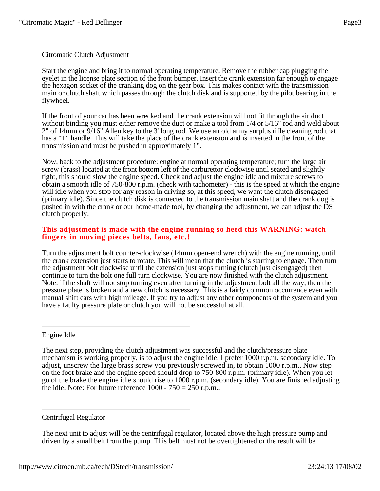# Citromatic Clutch Adjustment

Start the engine and bring it to normal operating temperature. Remove the rubber cap plugging the eyelet in the license plate section of the front bumper. Insert the crank extension far enough to engage the hexagon socket of the cranking dog on the gear box. This makes contact with the transmission main or clutch shaft which passes through the clutch disk and is supported by the pilot bearing in the flywheel.

If the front of your car has been wrecked and the crank extension will not fit through the air duct without binding you must either remove the duct or make a tool from  $1/4$  or  $5/16$ " rod and weld about 2" of 14mm or 9/16" Allen key to the 3' long rod. We use an old army surplus rifle cleaning rod that has a "T" handle. This will take the place of the crank extension and is inserted in the front of the transmission and must be pushed in approximately 1".

Now, back to the adjustment procedure: engine at normal operating temperature; turn the large air screw (brass) located at the front bottom left of the carburettor clockwise until seated and slightly tight, this should slow the engine speed. Check and adjust the engine idle and mixture screws to obtain a smooth idle of 750-800 r.p.m. (check with tachometer) - this is the speed at which the engine will idle when you stop for any reason in driving so, at this speed, we want the clutch disengaged (primary idle). Since the clutch disk is connected to the transmission main shaft and the crank dog is pushed in with the crank or our home-made tool, by changing the adjustment, we can adjust the DS clutch properly.

#### **This adjustment is made with the engine running so heed this WARNING: watch fingers in moving pieces belts, fans, etc.!**

Turn the adjustment bolt counter-clockwise (14mm open-end wrench) with the engine running, until the crank extension just starts to rotate. This will mean that the clutch is starting to engage. Then turn the adjustment bolt clockwise until the extension just stops turning (clutch just disengaged) then continue to turn the bolt one full turn clockwise. You are now finished with the clutch adjustment. Note: if the shaft will not stop turning even after turning in the adjustment bolt all the way, then the pressure plate is broken and a new clutch is necessary. This is a fairly common occurrence even with manual shift cars with high mileage. If you try to adjust any other components of the system and you have a faulty pressure plate or clutch you will not be successful at all.

Engine Idle

The next step, providing the clutch adjustment was successful and the clutch/pressure plate mechanism is working properly, is to adjust the engine idle. I prefer 1000 r.p.m. secondary idle. To adjust, unscrew the large brass screw you previously screwed in, to obtain 1000 r.p.m.. Now step on the foot brake and the engine speed should drop to 750-800 r.p.m. (primary idle). When you let go of the brake the engine idle should rise to 1000 r.p.m. (secondary idle). You are finished adjusting the idle. Note: For future reference  $1000 - 750 = 250$  r.p.m..

Centrifugal Regulator

The next unit to adjust will be the centrifugal regulator, located above the high pressure pump and driven by a small belt from the pump. This belt must not be overtightened or the result will be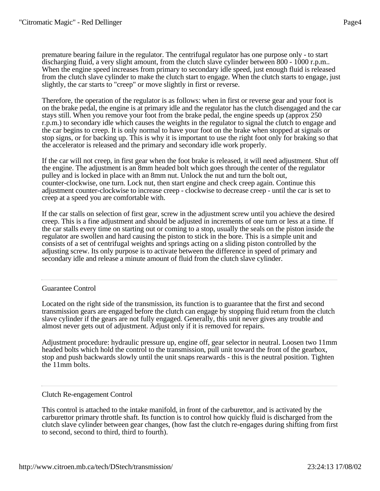premature bearing failure in the regulator. The centrifugal regulator has one purpose only - to start discharging fluid, a very slight amount, from the clutch slave cylinder between 800 - 1000 r.p.m.. When the engine speed increases from primary to secondary idle speed, just enough fluid is released from the clutch slave cylinder to make the clutch start to engage. When the clutch starts to engage, just slightly, the car starts to "creep" or move slightly in first or reverse.

Therefore, the operation of the regulator is as follows: when in first or reverse gear and your foot is on the brake pedal, the engine is at primary idle and the regulator has the clutch disengaged and the car stays still. When you remove your foot from the brake pedal, the engine speeds up (approx 250 r.p.m.) to secondary idle which causes the weights in the regulator to signal the clutch to engage and the car begins to creep. It is only normal to have your foot on the brake when stopped at signals or stop signs, or for backing up. This is why it is important to use the right foot only for braking so that the accelerator is released and the primary and secondary idle work properly.

If the car will not creep, in first gear when the foot brake is released, it will need adjustment. Shut off the engine. The adjustment is an 8mm headed bolt which goes through the center of the regulator pulley and is locked in place with an 8mm nut. Unlock the nut and turn the bolt out, counter-clockwise, one turn. Lock nut, then start engine and check creep again. Continue this adjustment counter-clockwise to increase creep - clockwise to decrease creep - until the car is set to creep at a speed you are comfortable with.

If the car stalls on selection of first gear, screw in the adjustment screw until you achieve the desired creep. This is a fine adjustment and should be adjusted in increments of one turn or less at a time. If the car stalls every time on starting out or coming to a stop, usually the seals on the piston inside the regulator are swollen and hard causing the piston to stick in the bore. This is a simple unit and consists of a set of centrifugal weights and springs acting on a sliding piston controlled by the adjusting screw. Its only purpose is to activate between the difference in speed of primary and secondary idle and release a minute amount of fluid from the clutch slave cylinder.

# Guarantee Control

Located on the right side of the transmission, its function is to guarantee that the first and second transmission gears are engaged before the clutch can engage by stopping fluid return from the clutch slave cylinder if the gears are not fully engaged. Generally, this unit never gives any trouble and almost never gets out of adjustment. Adjust only if it is removed for repairs.

Adjustment procedure: hydraulic pressure up, engine off, gear selector in neutral. Loosen two 11mm headed bolts which hold the control to the transmission, pull unit toward the front of the gearbox, stop and push backwards slowly until the unit snaps rearwards - this is the neutral position. Tighten the 11mm bolts.

# Clutch Re-engagement Control

This control is attached to the intake manifold, in front of the carburettor, and is activated by the carburettor primary throttle shaft. Its function is to control how quickly fluid is discharged from the clutch slave cylinder between gear changes, (how fast the clutch re-engages during shifting from first to second, second to third, third to fourth).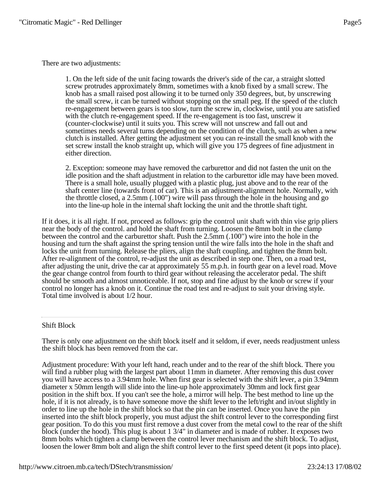There are two adjustments:

1. On the left side of the unit facing towards the driver's side of the car, a straight slotted screw protrudes approximately 8mm, sometimes with a knob fixed by a small screw. The knob has a small raised post allowing it to be turned only 350 degrees, but, by unscrewing the small screw, it can be turned without stopping on the small peg. If the speed of the clutch re-engagement between gears is too slow, turn the screw in, clockwise, until you are satisfied with the clutch re-engagement speed. If the re-engagement is too fast, unscrew it (counter-clockwise) until it suits you. This screw will not unscrew and fall out and sometimes needs several turns depending on the condition of the clutch, such as when a new clutch is installed. After getting the adjustment set you can re-install the small knob with the set screw install the knob straight up, which will give you 175 degrees of fine adjustment in either direction.

2. Exception: someone may have removed the carburettor and did not fasten the unit on the idle position and the shaft adjustment in relation to the carburettor idle may have been moved. There is a small hole, usually plugged with a plastic plug, just above and to the rear of the shaft center line (towards front of car). This is an adjustment-alignment hole. Normally, with the throttle closed, a 2.5mm (.100") wire will pass through the hole in the housing and go into the line-up hole in the internal shaft locking the unit and the throttle shaft tight.

If it does, it is all right. If not, proceed as follows: grip the control unit shaft with thin vise grip pliers near the body of the control. and hold the shaft from turning. Loosen the 8mm bolt in the clamp between the control and the carburettor shaft. Push the 2.5mm (.100") wire into the hole in the housing and turn the shaft against the spring tension until the wire falls into the hole in the shaft and locks the unit from turning. Release the pliers, align the shaft coupling, and tighten the 8mm bolt. After re-alignment of the control, re-adjust the unit as described in step one. Then, on a road test, after adjusting the unit, drive the car at approximately 55 m.p.h. in fourth gear on a level road. Move the gear change control from fourth to third gear without releasing the accelerator pedal. The shift should be smooth and almost unnoticeable. If not, stop and fine adjust by the knob or screw if your control no longer has a knob on it. Continue the road test and re-adjust to suit your driving style. Total time involved is about 1/2 hour.

# Shift Block

There is only one adjustment on the shift block itself and it seldom, if ever, needs readjustment unless the shift block has been removed from the car.

Adjustment procedure: With your left hand, reach under and to the rear of the shift block. There you will find a rubber plug with the largest part about 11mm in diameter. After removing this dust cover you will have access to a 3.94mm hole. When first gear is selected with the shift lever, a pin 3.94mm diameter x 50mm length will slide into the line-up hole approximately 30mm and lock first gear position in the shift box. If you can't see the hole, a mirror will help. The best method to line up the hole, if it is not already, is to have someone move the shift lever to the left/right and in/out slightly in order to line up the hole in the shift block so that the pin can be inserted. Once you have the pin inserted into the shift block properly, you must adjust the shift control lever to the corresponding first gear position. To do this you must first remove a dust cover from the metal cowl to the rear of the shift block (under the hood). This plug is about 1 3/4" in diameter and is made of rubber. It exposes two 8mm bolts which tighten a clamp between the control lever mechanism and the shift block. To adjust, loosen the lower 8mm bolt and align the shift control lever to the first speed detent (it pops into place).